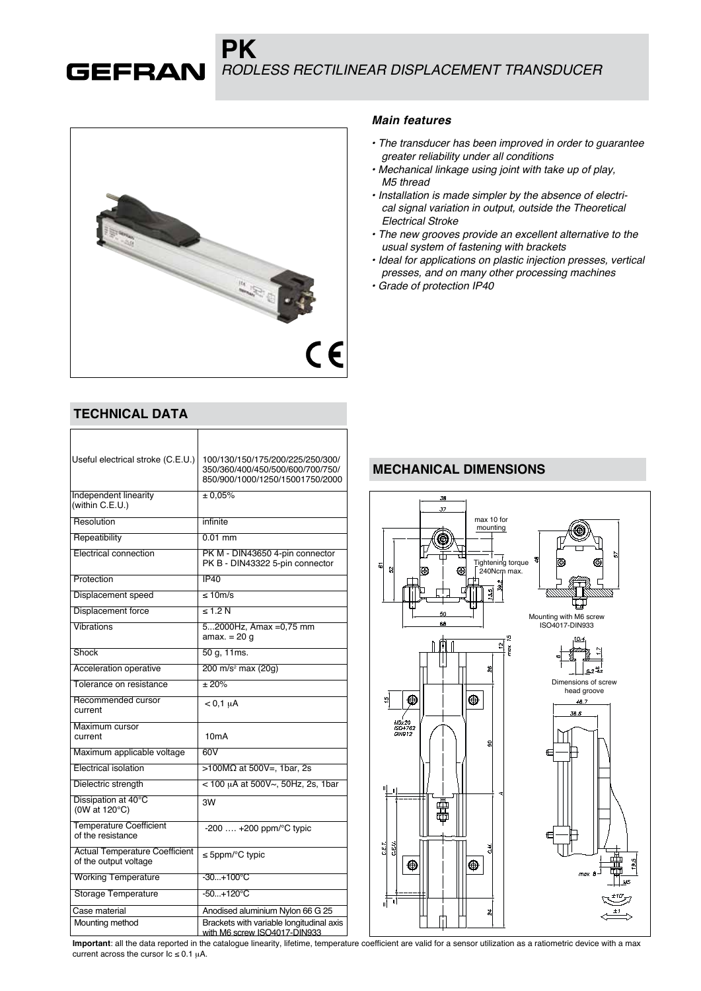*RODLESS RECTILINEAR DISPLACEMENT TRANSDUCER*



**PK**

### **TECHNICAL DATA**

**GEFRAN** 

| Useful electrical stroke (C.E.U.)                              | 100/130/150/175/200/225/250/300/<br>350/360/400/450/500/600/700/750/<br>850/900/1000/1250/15001750/2000 |
|----------------------------------------------------------------|---------------------------------------------------------------------------------------------------------|
| Independent linearity<br>(within C.E.U.)                       | $\pm 0.05\%$                                                                                            |
| Resolution                                                     | infinite                                                                                                |
| Repeatibility                                                  | $0.01$ mm                                                                                               |
| <b>Electrical connection</b>                                   | PK M - DIN43650 4-pin connector<br>PK B - DIN43322 5-pin connector                                      |
| Protection                                                     | IP40                                                                                                    |
| Displacement speed                                             | $\leq 10$ m/s                                                                                           |
| <b>Displacement force</b>                                      | $\leq 1.2 N$                                                                                            |
| Vibrations                                                     | 52000Hz, Amax = 0.75 mm<br>amax. $= 20$ q                                                               |
| Shock                                                          | 50 g, 11ms.                                                                                             |
| Acceleration operative                                         | 200 m/s <sup>2</sup> max (20g)                                                                          |
| Tolerance on resistance                                        | $\pm 20\%$                                                                                              |
| Recommended cursor<br>current                                  | $< 0,1 \mu A$                                                                                           |
| Maximum cursor<br>current                                      | 10 <sub>m</sub> A                                                                                       |
| Maximum applicable voltage                                     | 60V                                                                                                     |
| Electrical isolation                                           | >100MΩ at 500V=, 1bar, 2s                                                                               |
| Dielectric strength                                            | < 100 µA at 500V~, 50Hz, 2s, 1bar                                                                       |
| Dissipation at 40°C<br>(0W at 120°C)                           | 3W                                                                                                      |
| <b>Temperature Coefficient</b><br>of the resistance            | $-200$ $+200$ ppm/ $\degree$ C typic                                                                    |
| <b>Actual Temperature Coefficient</b><br>of the output voltage | ≤ 5ppm/ $°C$ typic                                                                                      |
| <b>Working Temperature</b>                                     | $-30+100^{\circ}C$                                                                                      |
| Storage Temperature                                            | $-50+120^{\circ}C$                                                                                      |
| Case material                                                  | Anodised aluminium Nylon 66 G 25                                                                        |
| Mounting method                                                | Brackets with variable longitudinal axis<br>with M6 screw ISO4017-DIN933                                |

#### *Main features*

- *The transducer has been improved in order to guarantee greater reliability under all conditions*
- *Mechanical linkage using joint with take up of play, M5 thread*
- *Installation is made simpler by the absence of electrical signal variation in output, outside the Theoretical Electrical Stroke*
- *The new grooves provide an excellent alternative to the usual system of fastening with brackets*
- *Ideal for applications on plastic injection presses, vertical presses, and on many other processing machines*
- *Grade of protection IP40*

# **MECHANICAL DIMENSIONS**



**Important**: all the data reported in the catalogue linearity, lifetime, temperature coefficient are valid for a sensor utilization as a ratiometric device with a max current across the cursor  $\text{lc} \leq 0.1 \mu\text{A}$ .